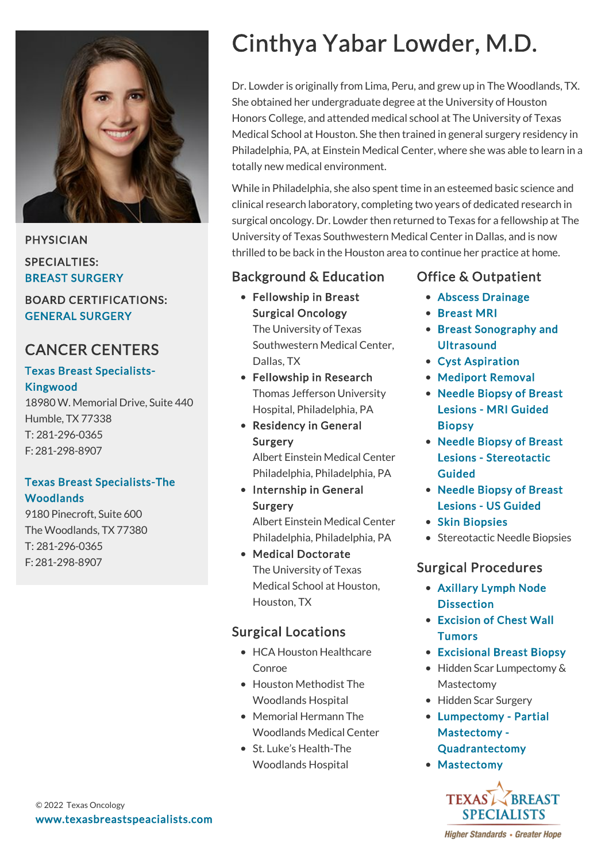

PHYSICIAN SPECIALTIES:

BREAST SURGERY

BOARD CERTIFICATIONS: GENERAL SURGERY

## CANCER CENTERS

#### [Texas Breast Specialists-](https://www.texasbreastspecialists.com/locations/Humble/Texas-Breast-Specialists%E2%80%94Humble)Kingwood

18980 W. Memorial Drive, Suite 440 Humble, TX 77338 T: [281-296-0365](tel:281-296-0365) F: 281-298-8907

#### [Texas Breast Specialists-The](https://www.texasbreastspecialists.com/locations/The-Woodlands/Texas-Breast-Specialists-The-Woodlands) Woodlands

9180 Pinecroft, Suite 600 The Woodlands, TX 77380 T: [281-296-0365](tel:281-296-0365) F: 281-298-8907

# Cinthya Yabar Lowder, M.D.

Dr. Lowder is originally from Lima, Peru, and grew up in The Woodlands, TX. She obtained her undergraduate degree at the University of Houston Honors College, and attended medical school at The University of Texas Medical School at Houston. She then trained in general surgery residency in Philadelphia, PA, at Einstein Medical Center, where she was able to learn in a totally new medical environment.

While in Philadelphia, she also spent time in an esteemed basic science and clinical research laboratory, completing two years of dedicated research in surgical oncology. Dr. Lowder then returned to Texas for a fellowship at The University of Texas Southwestern Medical Center in Dallas, and is now thrilled to be back in the Houston area to continue her practice at home.

## Background & Education

Fellowship in Breast Surgical Oncology

> The University of Texas Southwestern Medical Center, Dallas, TX

- Fellowship in Research Thomas Jefferson University Hospital, Philadelphia, PA
- Residency in General Surgery

Albert Einstein Medical Center Philadelphia, Philadelphia, PA

• Internship in General Surgery

> Albert Einstein Medical Center Philadelphia, Philadelphia, PA

Medical Doctorate The University of Texas Medical School at Houston, Houston, TX

## Surgical Locations

- HCA Houston Healthcare Conroe
- Houston Methodist The Woodlands Hospital
- Memorial Hermann The Woodlands Medical Center
- St. Luke's Health-The Woodlands Hospital

## Office & Outpatient

- [Abscess Drainage](https://www.texasbreastspecialists.com/procedures-services/office-outpatient-procedures-services/abscess-drainage)
- [Breast MRI](https://www.texasbreastspecialists.com/procedures-services/office-outpatient-procedures-services/breast-mri)
- [Breast Sonography and](https://www.texasbreastspecialists.com/procedures-services/office-outpatient-procedures-services/breast-sonography-ultrasound) **Ultrasound**
- [Cyst Aspiration](https://www.texasbreastspecialists.com/procedures-services/office-outpatient-procedures-services/cyst-aspiration)
- [Mediport Removal](https://www.texasbreastspecialists.com/procedures-services/office-outpatient-procedures-services/mediport-removal)
- [Needle Biopsy of Breast](https://www.texasbreastspecialists.com/procedures-services/office-outpatient-procedures-services/needle-biopsy-of-breast-lesions/mri-guided-biopsy) Lesions - MRI Guided Biopsy
- [Needle Biopsy of Breast](https://www.texasbreastspecialists.com/procedures-services/office-outpatient-procedures-services/needle-biopsy-of-breast-lesions/stereotactic-guided) Lesions - Stereotactic Guided
- [Needle Biopsy of Breast](https://www.texasbreastspecialists.com/procedures-services/office-outpatient-procedures-services/needle-biopsy-of-breast-lesions/us-guided) Lesions - US Guided
- [Skin Biopsies](https://www.texasbreastspecialists.com/procedures-services/office-outpatient-procedures-services/skin-biopsies)
- Stereotactic Needle Biopsies

## Surgical Procedures

- [Axillary Lymph Node](https://www.texasbreastspecialists.com/procedures-services/surgical-procedures/axillary-dissection) **Dissection**
- [Excision of Chest Wall](https://www.texasbreastspecialists.com/procedures-services/surgical-procedures/excision-of-chest-wall-tumors) **Tumors**
- [Excisional Breast Biopsy](https://www.texasbreastspecialists.com/procedures-services/surgical-procedures/excisional-breast-biopsy)
- Hidden Scar Lumpectomy & Mastectomy
- Hidden Scar Surgery
- [Lumpectomy Partial](https://www.texasbreastspecialists.com/procedures-services/surgical-procedures/lumpectomy-partial-mastectomy-quadrantectomy) Mastectomy - Quadrantectomy
- [Mastectomy](https://www.texasbreastspecialists.com/procedures-services/surgical-procedures/mastectomy)



**Higher Standards • Greater Hope**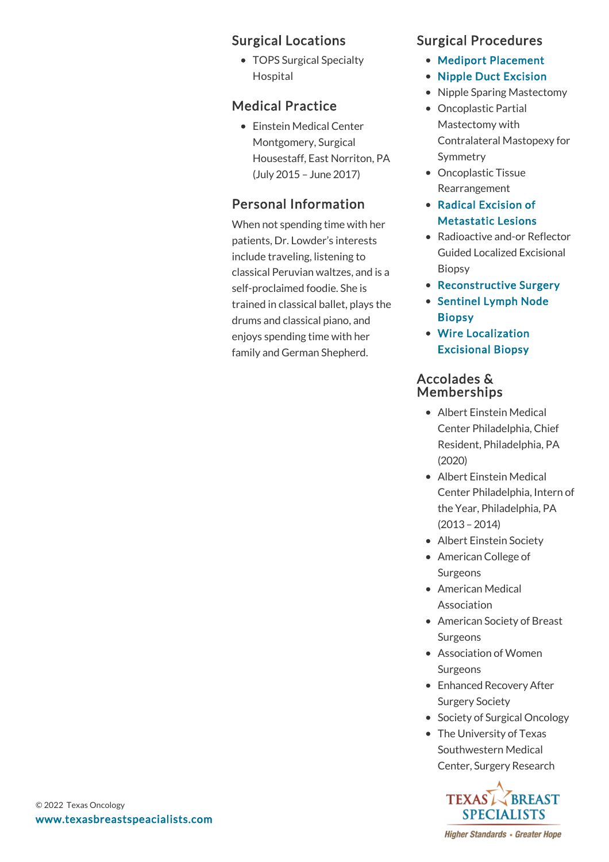#### Surgical Locations

• TOPS Surgical Specialty Hospital

#### Medical Practice

Einstein Medical Center Montgomery, Surgical Housestaff, East Norriton, PA (July 2015 – June 2017)

### Personal Information

When not spending time with her patients, Dr. Lowder's interests include traveling, listening to classical Peruvian waltzes, and is a self-proclaimed foodie. She is trained in classical ballet, plays the drums and classical piano, and enjoys spending time with her family and German Shepherd.

#### Surgical Procedures

- [Mediport Placement](https://www.texasbreastspecialists.com/procedures-services/surgical-procedures/mediport-placement)
- [Nipple Duct Excision](https://www.texasbreastspecialists.com/procedures-services/surgical-procedures/nipple-duct-excision)
- Nipple Sparing Mastectomy
- Oncoplastic Partial Mastectomy with Contralateral Mastopexy for Symmetry
- Oncoplastic Tissue Rearrangement
- Radical Excision of [Metastatic Lesions](https://www.texasbreastspecialists.com/procedures-services/surgical-procedures/radical-excision-of-metastatic-lesions)
- Radioactive and-or Reflector Guided Localized Excisional Biopsy
- [Reconstructive Surgery](https://www.texasbreastspecialists.com/procedures-services/surgical-procedures/reconstructive-surgery)
- [Sentinel Lymph Node](https://www.texasbreastspecialists.com/procedures-services/surgical-procedures/sentinel-lymph-node-biopsy) Biopsy
- [Wire Localization](https://www.texasbreastspecialists.com/procedures-services/surgical-procedures/wire-localization-excisional-biopsy) Excisional Biopsy

#### Accolades & Memberships

- Albert Einstein Medical Center Philadelphia, Chief Resident, Philadelphia, PA (2020)
- Albert Einstein Medical Center Philadelphia, Intern of the Year, Philadelphia, PA (2013 – 2014)
- Albert Einstein Society
- American College of Surgeons
- American Medical Association
- American Society of Breast **Surgeons**
- Association of Women Surgeons
- Enhanced Recovery After Surgery Society
- Society of Surgical Oncology
- The University of Texas Southwestern Medical Center, Surgery Research



**Higher Standards • Greater Hope**